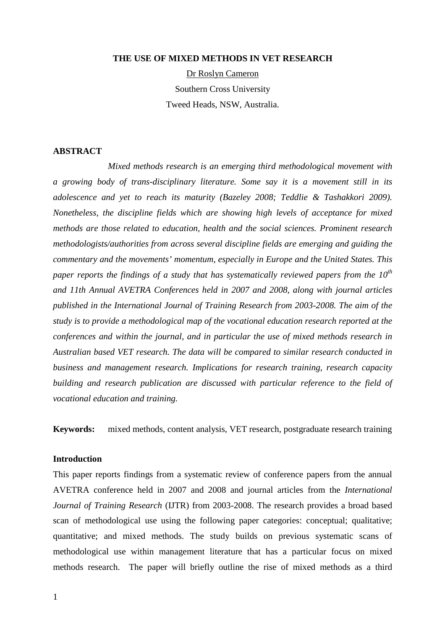#### **THE USE OF MIXED METHODS IN VET RESEARCH**

Dr Roslyn Cameron Southern Cross University Tweed Heads, NSW, Australia.

### **ABSTRACT**

 *Mixed methods research is an emerging third methodological movement with a growing body of trans-disciplinary literature. Some say it is a movement still in its adolescence and yet to reach its maturity (Bazeley 2008; Teddlie & Tashakkori 2009). Nonetheless, the discipline fields which are showing high levels of acceptance for mixed methods are those related to education, health and the social sciences. Prominent research methodologists/authorities from across several discipline fields are emerging and guiding the commentary and the movements' momentum, especially in Europe and the United States. This paper reports the findings of a study that has systematically reviewed papers from the 10th and 11th Annual AVETRA Conferences held in 2007 and 2008, along with journal articles published in the International Journal of Training Research from 2003-2008. The aim of the study is to provide a methodological map of the vocational education research reported at the conferences and within the journal, and in particular the use of mixed methods research in Australian based VET research. The data will be compared to similar research conducted in business and management research. Implications for research training, research capacity building and research publication are discussed with particular reference to the field of vocational education and training.* 

**Keywords:** mixed methods, content analysis, VET research, postgraduate research training

#### **Introduction**

This paper reports findings from a systematic review of conference papers from the annual AVETRA conference held in 2007 and 2008 and journal articles from the *International Journal of Training Research* (IJTR) from 2003-2008. The research provides a broad based scan of methodological use using the following paper categories: conceptual; qualitative; quantitative; and mixed methods. The study builds on previous systematic scans of methodological use within management literature that has a particular focus on mixed methods research. The paper will briefly outline the rise of mixed methods as a third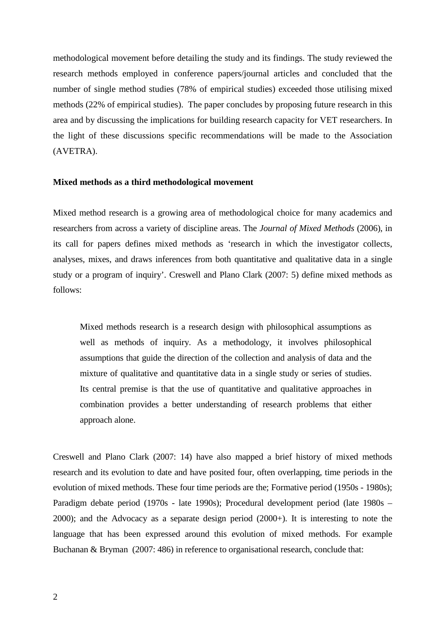methodological movement before detailing the study and its findings. The study reviewed the research methods employed in conference papers/journal articles and concluded that the number of single method studies (78% of empirical studies) exceeded those utilising mixed methods (22% of empirical studies). The paper concludes by proposing future research in this area and by discussing the implications for building research capacity for VET researchers. In the light of these discussions specific recommendations will be made to the Association (AVETRA).

#### **Mixed methods as a third methodological movement**

Mixed method research is a growing area of methodological choice for many academics and researchers from across a variety of discipline areas. The *Journal of Mixed Methods* (2006), in its call for papers defines mixed methods as 'research in which the investigator collects, analyses, mixes, and draws inferences from both quantitative and qualitative data in a single study or a program of inquiry'. Creswell and Plano Clark (2007: 5) define mixed methods as follows:

Mixed methods research is a research design with philosophical assumptions as well as methods of inquiry. As a methodology, it involves philosophical assumptions that guide the direction of the collection and analysis of data and the mixture of qualitative and quantitative data in a single study or series of studies. Its central premise is that the use of quantitative and qualitative approaches in combination provides a better understanding of research problems that either approach alone.

Creswell and Plano Clark (2007: 14) have also mapped a brief history of mixed methods research and its evolution to date and have posited four, often overlapping, time periods in the evolution of mixed methods. These four time periods are the; Formative period (1950s - 1980s); Paradigm debate period (1970s - late 1990s); Procedural development period (late 1980s – 2000); and the Advocacy as a separate design period (2000+). It is interesting to note the language that has been expressed around this evolution of mixed methods. For example Buchanan & Bryman (2007: 486) in reference to organisational research, conclude that: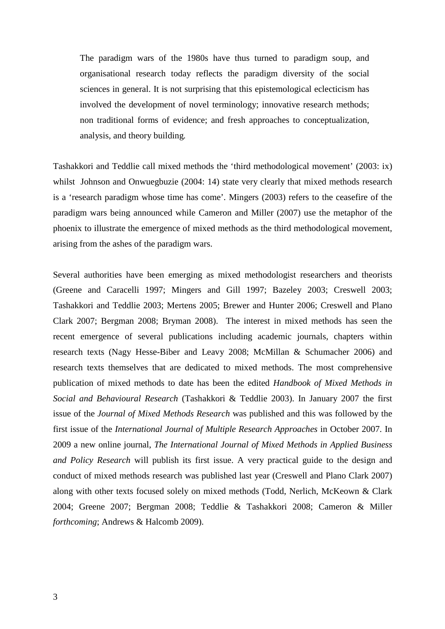The paradigm wars of the 1980s have thus turned to paradigm soup, and organisational research today reflects the paradigm diversity of the social sciences in general. It is not surprising that this epistemological eclecticism has involved the development of novel terminology; innovative research methods; non traditional forms of evidence; and fresh approaches to conceptualization, analysis, and theory building*.* 

Tashakkori and Teddlie call mixed methods the 'third methodological movement' (2003: ix) whilst Johnson and Onwuegbuzie (2004: 14) state very clearly that mixed methods research is a 'research paradigm whose time has come'. Mingers (2003) refers to the ceasefire of the paradigm wars being announced while Cameron and Miller (2007) use the metaphor of the phoenix to illustrate the emergence of mixed methods as the third methodological movement, arising from the ashes of the paradigm wars.

Several authorities have been emerging as mixed methodologist researchers and theorists (Greene and Caracelli 1997; Mingers and Gill 1997; Bazeley 2003; Creswell 2003; Tashakkori and Teddlie 2003; Mertens 2005; Brewer and Hunter 2006; Creswell and Plano Clark 2007; Bergman 2008; Bryman 2008). The interest in mixed methods has seen the recent emergence of several publications including academic journals, chapters within research texts (Nagy Hesse-Biber and Leavy 2008; McMillan & Schumacher 2006) and research texts themselves that are dedicated to mixed methods. The most comprehensive publication of mixed methods to date has been the edited *Handbook of Mixed Methods in Social and Behavioural Research* (Tashakkori & Teddlie 2003). In January 2007 the first issue of the *Journal of Mixed Methods Research* was published and this was followed by the first issue of the *International Journal of Multiple Research Approaches* in October 2007. In 2009 a new online journal, *The International Journal of Mixed Methods in Applied Business and Policy Research* will publish its first issue. A very practical guide to the design and conduct of mixed methods research was published last year (Creswell and Plano Clark 2007) along with other texts focused solely on mixed methods (Todd, Nerlich, McKeown & Clark 2004; Greene 2007; Bergman 2008; Teddlie & Tashakkori 2008; Cameron & Miller *forthcoming*; Andrews & Halcomb 2009).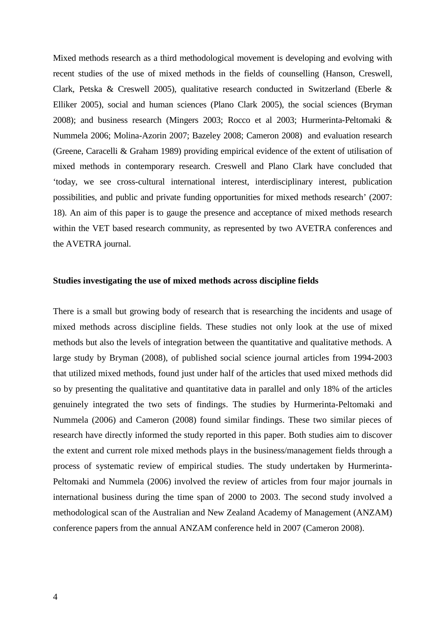Mixed methods research as a third methodological movement is developing and evolving with recent studies of the use of mixed methods in the fields of counselling (Hanson, Creswell, Clark, Petska & Creswell 2005), qualitative research conducted in Switzerland (Eberle & Elliker 2005), social and human sciences (Plano Clark 2005), the social sciences (Bryman 2008); and business research (Mingers 2003; Rocco et al 2003; Hurmerinta-Peltomaki & Nummela 2006; Molina-Azorin 2007; Bazeley 2008; Cameron 2008) and evaluation research (Greene, Caracelli & Graham 1989) providing empirical evidence of the extent of utilisation of mixed methods in contemporary research. Creswell and Plano Clark have concluded that 'today, we see cross-cultural international interest, interdisciplinary interest, publication possibilities, and public and private funding opportunities for mixed methods research' (2007: 18). An aim of this paper is to gauge the presence and acceptance of mixed methods research within the VET based research community, as represented by two AVETRA conferences and the AVETRA journal.

#### **Studies investigating the use of mixed methods across discipline fields**

There is a small but growing body of research that is researching the incidents and usage of mixed methods across discipline fields. These studies not only look at the use of mixed methods but also the levels of integration between the quantitative and qualitative methods. A large study by Bryman (2008), of published social science journal articles from 1994-2003 that utilized mixed methods, found just under half of the articles that used mixed methods did so by presenting the qualitative and quantitative data in parallel and only 18% of the articles genuinely integrated the two sets of findings. The studies by Hurmerinta-Peltomaki and Nummela (2006) and Cameron (2008) found similar findings. These two similar pieces of research have directly informed the study reported in this paper. Both studies aim to discover the extent and current role mixed methods plays in the business/management fields through a process of systematic review of empirical studies. The study undertaken by Hurmerinta-Peltomaki and Nummela (2006) involved the review of articles from four major journals in international business during the time span of 2000 to 2003. The second study involved a methodological scan of the Australian and New Zealand Academy of Management (ANZAM) conference papers from the annual ANZAM conference held in 2007 (Cameron 2008).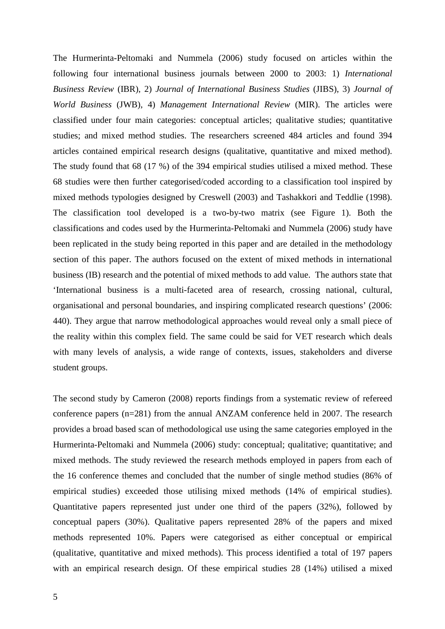The Hurmerinta-Peltomaki and Nummela (2006) study focused on articles within the following four international business journals between 2000 to 2003: 1) *International Business Review* (IBR), 2) *Journal of International Business Studies* (JIBS), 3) *Journal of World Business* (JWB), 4) *Management International Review* (MIR). The articles were classified under four main categories: conceptual articles; qualitative studies; quantitative studies; and mixed method studies. The researchers screened 484 articles and found 394 articles contained empirical research designs (qualitative, quantitative and mixed method). The study found that 68 (17 %) of the 394 empirical studies utilised a mixed method. These 68 studies were then further categorised/coded according to a classification tool inspired by mixed methods typologies designed by Creswell (2003) and Tashakkori and Teddlie (1998). The classification tool developed is a two-by-two matrix (see Figure 1). Both the classifications and codes used by the Hurmerinta-Peltomaki and Nummela (2006) study have been replicated in the study being reported in this paper and are detailed in the methodology section of this paper. The authors focused on the extent of mixed methods in international business (IB) research and the potential of mixed methods to add value. The authors state that 'International business is a multi-faceted area of research, crossing national, cultural, organisational and personal boundaries, and inspiring complicated research questions' (2006: 440). They argue that narrow methodological approaches would reveal only a small piece of the reality within this complex field. The same could be said for VET research which deals with many levels of analysis, a wide range of contexts, issues, stakeholders and diverse student groups.

The second study by Cameron (2008) reports findings from a systematic review of refereed conference papers (n=281) from the annual ANZAM conference held in 2007. The research provides a broad based scan of methodological use using the same categories employed in the Hurmerinta-Peltomaki and Nummela (2006) study: conceptual; qualitative; quantitative; and mixed methods. The study reviewed the research methods employed in papers from each of the 16 conference themes and concluded that the number of single method studies (86% of empirical studies) exceeded those utilising mixed methods (14% of empirical studies). Quantitative papers represented just under one third of the papers (32%), followed by conceptual papers (30%). Qualitative papers represented 28% of the papers and mixed methods represented 10%. Papers were categorised as either conceptual or empirical (qualitative, quantitative and mixed methods). This process identified a total of 197 papers with an empirical research design. Of these empirical studies 28 (14%) utilised a mixed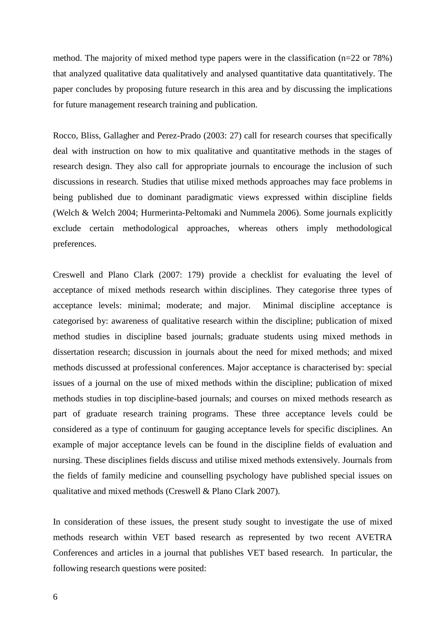method. The majority of mixed method type papers were in the classification (n=22 or 78%) that analyzed qualitative data qualitatively and analysed quantitative data quantitatively. The paper concludes by proposing future research in this area and by discussing the implications for future management research training and publication.

Rocco, Bliss, Gallagher and Perez-Prado (2003: 27) call for research courses that specifically deal with instruction on how to mix qualitative and quantitative methods in the stages of research design. They also call for appropriate journals to encourage the inclusion of such discussions in research. Studies that utilise mixed methods approaches may face problems in being published due to dominant paradigmatic views expressed within discipline fields (Welch & Welch 2004; Hurmerinta-Peltomaki and Nummela 2006). Some journals explicitly exclude certain methodological approaches, whereas others imply methodological preferences.

Creswell and Plano Clark (2007: 179) provide a checklist for evaluating the level of acceptance of mixed methods research within disciplines. They categorise three types of acceptance levels: minimal; moderate; and major. Minimal discipline acceptance is categorised by: awareness of qualitative research within the discipline; publication of mixed method studies in discipline based journals; graduate students using mixed methods in dissertation research; discussion in journals about the need for mixed methods; and mixed methods discussed at professional conferences. Major acceptance is characterised by: special issues of a journal on the use of mixed methods within the discipline; publication of mixed methods studies in top discipline-based journals; and courses on mixed methods research as part of graduate research training programs. These three acceptance levels could be considered as a type of continuum for gauging acceptance levels for specific disciplines. An example of major acceptance levels can be found in the discipline fields of evaluation and nursing. These disciplines fields discuss and utilise mixed methods extensively. Journals from the fields of family medicine and counselling psychology have published special issues on qualitative and mixed methods (Creswell & Plano Clark 2007).

In consideration of these issues, the present study sought to investigate the use of mixed methods research within VET based research as represented by two recent AVETRA Conferences and articles in a journal that publishes VET based research. In particular, the following research questions were posited: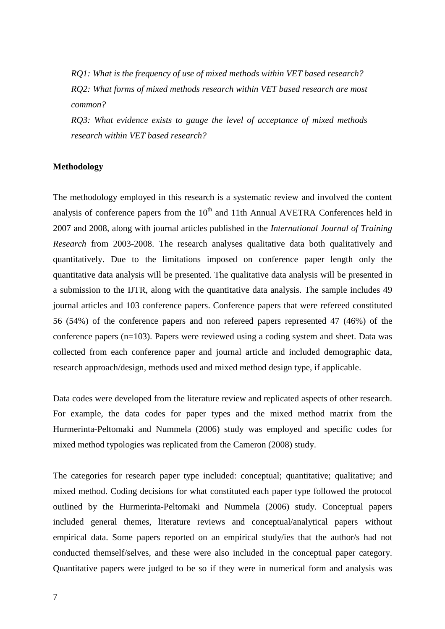*RQ1: What is the frequency of use of mixed methods within VET based research? RQ2: What forms of mixed methods research within VET based research are most common?* 

*RQ3: What evidence exists to gauge the level of acceptance of mixed methods research within VET based research?* 

#### **Methodology**

The methodology employed in this research is a systematic review and involved the content analysis of conference papers from the  $10<sup>th</sup>$  and 11th Annual AVETRA Conferences held in 2007 and 2008, along with journal articles published in the *International Journal of Training Research* from 2003-2008. The research analyses qualitative data both qualitatively and quantitatively. Due to the limitations imposed on conference paper length only the quantitative data analysis will be presented. The qualitative data analysis will be presented in a submission to the IJTR, along with the quantitative data analysis. The sample includes 49 journal articles and 103 conference papers. Conference papers that were refereed constituted 56 (54%) of the conference papers and non refereed papers represented 47 (46%) of the conference papers (n=103). Papers were reviewed using a coding system and sheet. Data was collected from each conference paper and journal article and included demographic data, research approach/design, methods used and mixed method design type, if applicable.

Data codes were developed from the literature review and replicated aspects of other research. For example, the data codes for paper types and the mixed method matrix from the Hurmerinta-Peltomaki and Nummela (2006) study was employed and specific codes for mixed method typologies was replicated from the Cameron (2008) study.

The categories for research paper type included: conceptual; quantitative; qualitative; and mixed method. Coding decisions for what constituted each paper type followed the protocol outlined by the Hurmerinta-Peltomaki and Nummela (2006) study. Conceptual papers included general themes, literature reviews and conceptual/analytical papers without empirical data. Some papers reported on an empirical study/ies that the author/s had not conducted themself/selves, and these were also included in the conceptual paper category. Quantitative papers were judged to be so if they were in numerical form and analysis was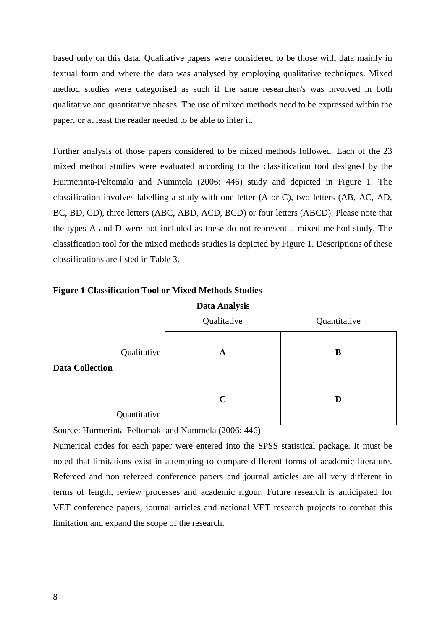based only on this data. Qualitative papers were considered to be those with data mainly in textual form and where the data was analysed by employing qualitative techniques. Mixed method studies were categorised as such if the same researcher/s was involved in both qualitative and quantitative phases. The use of mixed methods need to be expressed within the paper, or at least the reader needed to be able to infer it.

Further analysis of those papers considered to be mixed methods followed. Each of the 23 mixed method studies were evaluated according to the classification tool designed by the Hurmerinta-Peltomaki and Nummela (2006: 446) study and depicted in Figure 1. The classification involves labelling a study with one letter (A or C), two letters (AB, AC, AD, BC, BD, CD), three letters (ABC, ABD, ACD, BCD) or four letters (ABCD). Please note that the types A and D were not included as these do not represent a mixed method study. The classification tool for the mixed methods studies is depicted by Figure 1. Descriptions of these classifications are listed in Table 3.



#### **Figure 1 Classification Tool or Mixed Methods Studies**

Source: Hurmerinta-Peltomaki and Nummela (2006: 446)

Numerical codes for each paper were entered into the SPSS statistical package. It must be noted that limitations exist in attempting to compare different forms of academic literature. Refereed and non refereed conference papers and journal articles are all very different in terms of length, review processes and academic rigour. Future research is anticipated for VET conference papers, journal articles and national VET research projects to combat this limitation and expand the scope of the research.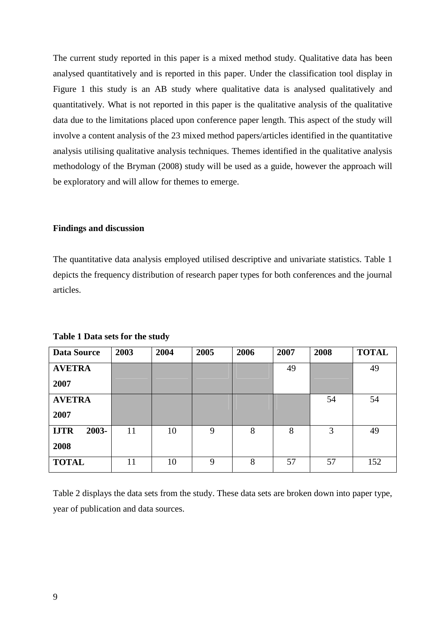The current study reported in this paper is a mixed method study. Qualitative data has been analysed quantitatively and is reported in this paper. Under the classification tool display in Figure 1 this study is an AB study where qualitative data is analysed qualitatively and quantitatively. What is not reported in this paper is the qualitative analysis of the qualitative data due to the limitations placed upon conference paper length. This aspect of the study will involve a content analysis of the 23 mixed method papers/articles identified in the quantitative analysis utilising qualitative analysis techniques. Themes identified in the qualitative analysis methodology of the Bryman (2008) study will be used as a guide, however the approach will be exploratory and will allow for themes to emerge.

#### **Findings and discussion**

The quantitative data analysis employed utilised descriptive and univariate statistics. Table 1 depicts the frequency distribution of research paper types for both conferences and the journal articles.

| <b>Data Source</b>   | 2003 | 2004 | 2005 | 2006 | 2007 | 2008 | <b>TOTAL</b> |
|----------------------|------|------|------|------|------|------|--------------|
| <b>AVETRA</b>        |      |      |      |      | 49   |      | 49           |
| 2007                 |      |      |      |      |      |      |              |
| <b>AVETRA</b>        |      |      |      |      |      | 54   | 54           |
| 2007                 |      |      |      |      |      |      |              |
| <b>IJTR</b><br>2003- | 11   | 10   | 9    | 8    | 8    | 3    | 49           |
| 2008                 |      |      |      |      |      |      |              |
| <b>TOTAL</b>         | 11   | 10   | 9    | 8    | 57   | 57   | 152          |

**Table 1 Data sets for the study** 

Table 2 displays the data sets from the study. These data sets are broken down into paper type, year of publication and data sources.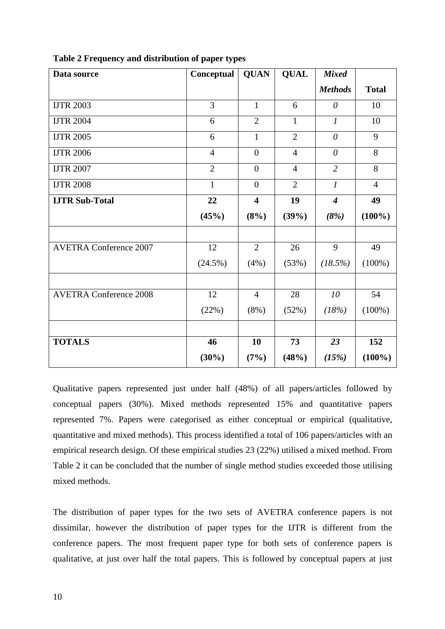| Data source                   | Conceptual     | <b>QUAN</b>             | <b>QUAL</b>    | <b>Mixed</b>            |                |
|-------------------------------|----------------|-------------------------|----------------|-------------------------|----------------|
|                               |                |                         |                | <b>Methods</b>          | <b>Total</b>   |
| <b>IJTR 2003</b>              | 3              | $\mathbf{1}$            | 6              | $\theta$                | 10             |
| <b>IJTR 2004</b>              | 6              | $\overline{2}$          | 1              | $\mathfrak{1}$          | 10             |
| <b>IJTR 2005</b>              | 6              | $\mathbf{1}$            | $\overline{2}$ | $\theta$                | 9              |
| <b>IJTR 2006</b>              | $\overline{4}$ | $\overline{0}$          | $\overline{4}$ | $\theta$                | 8              |
| <b>IJTR 2007</b>              | $\overline{2}$ | $\overline{0}$          | $\overline{4}$ | $\overline{2}$          | 8              |
| <b>IJTR 2008</b>              | $\mathbf{1}$   | $\overline{0}$          | $\overline{2}$ | $\boldsymbol{l}$        | $\overline{4}$ |
| <b>IJTR Sub-Total</b>         | 22             | $\overline{\mathbf{4}}$ | 19             | $\overline{\mathbf{4}}$ | 49             |
|                               | (45%)          | (8%)                    | (39%)          | (8%)                    | $(100\%)$      |
|                               |                |                         |                |                         |                |
| <b>AVETRA Conference 2007</b> | 12             | $\overline{2}$          | 26             | 9                       | 49             |
|                               | $(24.5\%)$     | (4%)                    | (53%)          | (18.5%)                 | $(100\%)$      |
|                               |                |                         |                |                         |                |
| <b>AVETRA Conference 2008</b> | 12             | $\overline{4}$          | 28             | 10                      | 54             |
|                               | (22%)          | $(8\%)$                 | (52%)          | (18%)                   | $(100\%)$      |
|                               |                |                         |                |                         |                |
| <b>TOTALS</b>                 | 46             | 10                      | 73             | 23                      | 152            |
|                               | $(30\%)$       | (7%)                    | (48%)          | (15%)                   | $(100\%)$      |

Qualitative papers represented just under half (48%) of all papers/articles followed by conceptual papers (30%). Mixed methods represented 15% and quantitative papers represented 7%. Papers were categorised as either conceptual or empirical (qualitative, quantitative and mixed methods). This process identified a total of 106 papers/articles with an empirical research design. Of these empirical studies 23 (22%) utilised a mixed method. From Table 2 it can be concluded that the number of single method studies exceeded those utilising mixed methods.

The distribution of paper types for the two sets of AVETRA conference papers is not dissimilar, however the distribution of paper types for the IJTR is different from the conference papers. The most frequent paper type for both sets of conference papers is qualitative, at just over half the total papers. This is followed by conceptual papers at just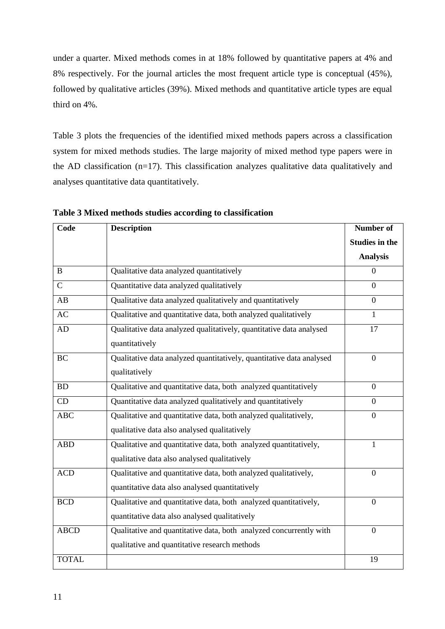under a quarter. Mixed methods comes in at 18% followed by quantitative papers at 4% and 8% respectively. For the journal articles the most frequent article type is conceptual (45%), followed by qualitative articles (39%). Mixed methods and quantitative article types are equal third on 4%.

Table 3 plots the frequencies of the identified mixed methods papers across a classification system for mixed methods studies. The large majority of mixed method type papers were in the AD classification (n=17). This classification analyzes qualitative data qualitatively and analyses quantitative data quantitatively.

| Code         | <b>Description</b>                                                                                                  | <b>Number of</b>      |  |
|--------------|---------------------------------------------------------------------------------------------------------------------|-----------------------|--|
|              |                                                                                                                     | <b>Studies in the</b> |  |
|              |                                                                                                                     | <b>Analysis</b>       |  |
| $\bf{B}$     | Qualitative data analyzed quantitatively                                                                            | $\overline{0}$        |  |
| $\mathbf C$  | Quantitative data analyzed qualitatively                                                                            | $\Omega$              |  |
| AB           | Qualitative data analyzed qualitatively and quantitatively                                                          | $\theta$              |  |
| AC           | Qualitative and quantitative data, both analyzed qualitatively                                                      | 1                     |  |
| <b>AD</b>    | Qualitative data analyzed qualitatively, quantitative data analysed<br>quantitatively                               | 17                    |  |
| <b>BC</b>    | Qualitative data analyzed quantitatively, quantitative data analysed<br>qualitatively                               | $\boldsymbol{0}$      |  |
| <b>BD</b>    | Qualitative and quantitative data, both analyzed quantitatively                                                     | $\Omega$              |  |
| CD           | Quantitative data analyzed qualitatively and quantitatively                                                         | $\overline{0}$        |  |
| <b>ABC</b>   | Qualitative and quantitative data, both analyzed qualitatively,<br>qualitative data also analysed qualitatively     | $\overline{0}$        |  |
| <b>ABD</b>   | Qualitative and quantitative data, both analyzed quantitatively,<br>qualitative data also analysed qualitatively    | 1                     |  |
| <b>ACD</b>   | Qualitative and quantitative data, both analyzed qualitatively,<br>quantitative data also analysed quantitatively   | $\overline{0}$        |  |
| <b>BCD</b>   | Qualitative and quantitative data, both analyzed quantitatively,<br>quantitative data also analysed qualitatively   | $\mathbf{0}$          |  |
| <b>ABCD</b>  | Qualitative and quantitative data, both analyzed concurrently with<br>qualitative and quantitative research methods | $\overline{0}$        |  |
| <b>TOTAL</b> |                                                                                                                     | 19                    |  |

**Table 3 Mixed methods studies according to classification**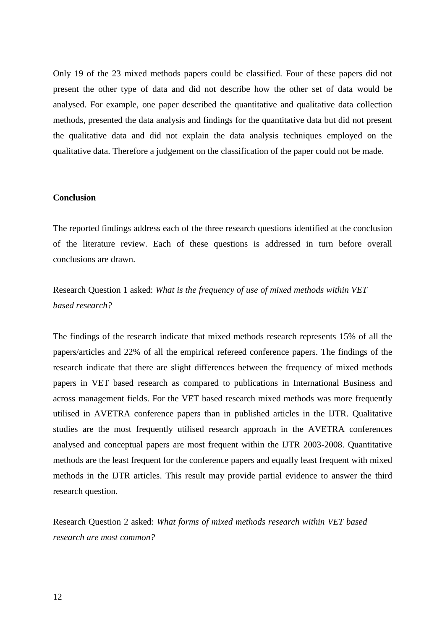Only 19 of the 23 mixed methods papers could be classified. Four of these papers did not present the other type of data and did not describe how the other set of data would be analysed. For example, one paper described the quantitative and qualitative data collection methods, presented the data analysis and findings for the quantitative data but did not present the qualitative data and did not explain the data analysis techniques employed on the qualitative data. Therefore a judgement on the classification of the paper could not be made.

#### **Conclusion**

The reported findings address each of the three research questions identified at the conclusion of the literature review. Each of these questions is addressed in turn before overall conclusions are drawn.

Research Question 1 asked: *What is the frequency of use of mixed methods within VET based research?* 

The findings of the research indicate that mixed methods research represents 15% of all the papers/articles and 22% of all the empirical refereed conference papers. The findings of the research indicate that there are slight differences between the frequency of mixed methods papers in VET based research as compared to publications in International Business and across management fields. For the VET based research mixed methods was more frequently utilised in AVETRA conference papers than in published articles in the IJTR. Qualitative studies are the most frequently utilised research approach in the AVETRA conferences analysed and conceptual papers are most frequent within the IJTR 2003-2008. Quantitative methods are the least frequent for the conference papers and equally least frequent with mixed methods in the IJTR articles. This result may provide partial evidence to answer the third research question.

Research Question 2 asked: *What forms of mixed methods research within VET based research are most common?*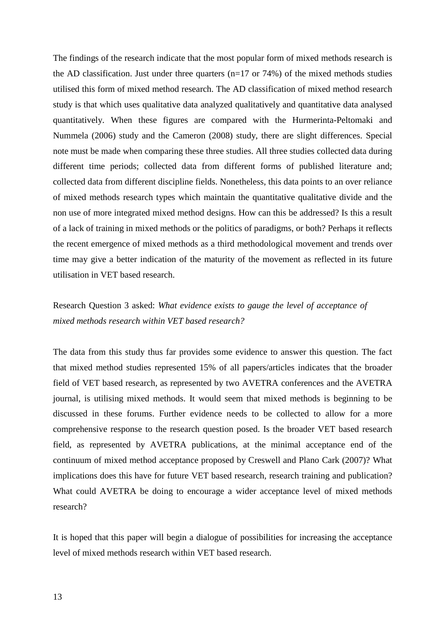The findings of the research indicate that the most popular form of mixed methods research is the AD classification. Just under three quarters  $(n=17 \text{ or } 74\%)$  of the mixed methods studies utilised this form of mixed method research. The AD classification of mixed method research study is that which uses qualitative data analyzed qualitatively and quantitative data analysed quantitatively. When these figures are compared with the Hurmerinta-Peltomaki and Nummela (2006) study and the Cameron (2008) study, there are slight differences. Special note must be made when comparing these three studies. All three studies collected data during different time periods; collected data from different forms of published literature and; collected data from different discipline fields. Nonetheless, this data points to an over reliance of mixed methods research types which maintain the quantitative qualitative divide and the non use of more integrated mixed method designs. How can this be addressed? Is this a result of a lack of training in mixed methods or the politics of paradigms, or both? Perhaps it reflects the recent emergence of mixed methods as a third methodological movement and trends over time may give a better indication of the maturity of the movement as reflected in its future utilisation in VET based research.

# Research Question 3 asked: *What evidence exists to gauge the level of acceptance of mixed methods research within VET based research?*

The data from this study thus far provides some evidence to answer this question. The fact that mixed method studies represented 15% of all papers/articles indicates that the broader field of VET based research, as represented by two AVETRA conferences and the AVETRA journal, is utilising mixed methods. It would seem that mixed methods is beginning to be discussed in these forums. Further evidence needs to be collected to allow for a more comprehensive response to the research question posed. Is the broader VET based research field, as represented by AVETRA publications, at the minimal acceptance end of the continuum of mixed method acceptance proposed by Creswell and Plano Cark (2007)? What implications does this have for future VET based research, research training and publication? What could AVETRA be doing to encourage a wider acceptance level of mixed methods research?

It is hoped that this paper will begin a dialogue of possibilities for increasing the acceptance level of mixed methods research within VET based research.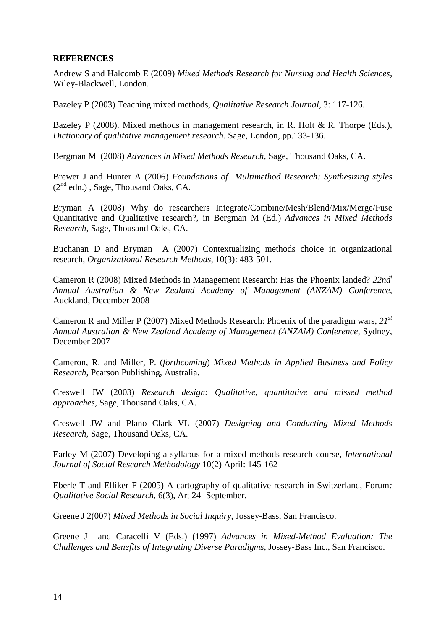## **REFERENCES**

Andrew S and Halcomb E (2009) *Mixed Methods Research for Nursing and Health Sciences*, Wiley-Blackwell, London.

Bazeley P (2003) Teaching mixed methods, *Qualitative Research Journal*, 3: 117-126.

Bazeley P (2008). Mixed methods in management research, in R. Holt & R. Thorpe (Eds.), *Dictionary of qualitative management research*. Sage, London,.pp.133-136.

Bergman M (2008) *Advances in Mixed Methods Research,* Sage, Thousand Oaks, CA.

Brewer J and Hunter A (2006) *Foundations of Multimethod Research: Synthesizing styles*  $(2^{nd}$  edn.), Sage, Thousand Oaks, CA.

Bryman A (2008) Why do researchers Integrate/Combine/Mesh/Blend/Mix/Merge/Fuse Quantitative and Qualitative research?, in Bergman M (Ed.) *Advances in Mixed Methods Research,* Sage, Thousand Oaks, CA.

Buchanan D and Bryman A (2007) Contextualizing methods choice in organizational research, *Organizational Research Methods,* 10(3): 483-501.

Cameron R (2008) Mixed Methods in Management Research: Has the Phoenix landed? *22nd<sup>t</sup> Annual Australian & New Zealand Academy of Management (ANZAM) Conference,*  Auckland, December 2008

Cameron R and Miller P (2007) Mixed Methods Research: Phoenix of the paradigm wars, *21st Annual Australian & New Zealand Academy of Management (ANZAM) Conference,* Sydney, December 2007

Cameron, R. and Miller, P. (*forthcoming*) *Mixed Methods in Applied Business and Policy Research*, Pearson Publishing, Australia.

Creswell JW (2003) *Research design: Qualitative, quantitative and missed method approaches,* Sage, Thousand Oaks, CA.

Creswell JW and Plano Clark VL (2007) *Designing and Conducting Mixed Methods Research,* Sage, Thousand Oaks, CA.

Earley M (2007) Developing a syllabus for a mixed-methods research course, *International Journal of Social Research Methodology* 10(2) April: 145-162

Eberle T and Elliker F (2005) A cartography of qualitative research in Switzerland, Forum*: Qualitative Social Research,* 6(3), Art 24- September.

Greene J 2(007) *Mixed Methods in Social Inquiry*, Jossey-Bass, San Francisco.

Greene J and Caracelli V (Eds.) (1997) *Advances in Mixed-Method Evaluation: The Challenges and Benefits of Integrating Diverse Paradigms,* Jossey-Bass Inc., San Francisco.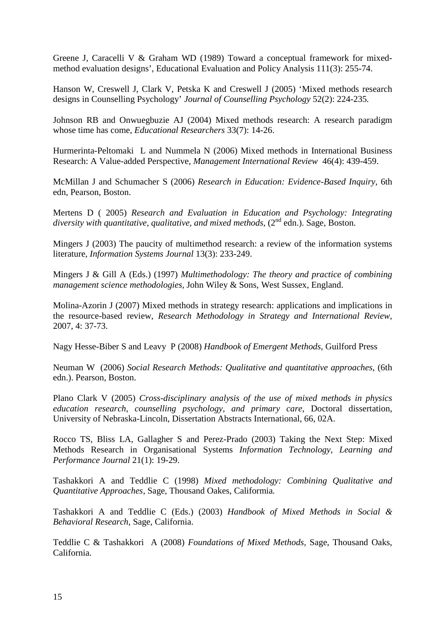Greene J, Caracelli V & Graham WD (1989) Toward a conceptual framework for mixedmethod evaluation designs', Educational Evaluation and Policy Analysis 111(3): 255-74.

Hanson W, Creswell J, Clark V, Petska K and Creswell J (2005) 'Mixed methods research designs in Counselling Psychology' *Journal of Counselling Psychology* 52(2): 224-235*.* 

Johnson RB and Onwuegbuzie AJ (2004) Mixed methods research: A research paradigm whose time has come, *Educational Researchers* 33(7): 14-26.

Hurmerinta-Peltomaki L and Nummela N (2006) Mixed methods in International Business Research: A Value-added Perspective, *Management International Review* 46(4): 439-459.

McMillan J and Schumacher S (2006) *Research in Education: Evidence-Based Inquiry*, 6th edn, Pearson, Boston.

Mertens D ( 2005) *Research and Evaluation in Education and Psychology: Integrating*  diversity with quantitative, qualitative, and mixed methods, (2<sup>nd</sup> edn.). Sage, Boston.

Mingers J (2003) The paucity of multimethod research: a review of the information systems literature, *Information Systems Journal* 13(3): 233-249.

Mingers J & Gill A (Eds.) (1997) *Multimethodology: The theory and practice of combining management science methodologies,* John Wiley & Sons, West Sussex, England.

Molina-Azorin J (2007) Mixed methods in strategy research: applications and implications in the resource-based review, *Research Methodology in Strategy and International Review,*  2007, 4: 37-73.

Nagy Hesse-Biber S and Leavy P (2008) *Handbook of Emergent Methods,* Guilford Press

Neuman W (2006) *Social Research Methods: Qualitative and quantitative approaches*, (6th edn.). Pearson, Boston.

Plano Clark V (2005) *Cross-disciplinary analysis of the use of mixed methods in physics education research, counselling psychology, and primary care*, Doctoral dissertation, University of Nebraska-Lincoln, Dissertation Abstracts International, 66, 02A.

Rocco TS, Bliss LA, Gallagher S and Perez-Prado (2003) Taking the Next Step: Mixed Methods Research in Organisational Systems *Information Technology, Learning and Performance Journal* 21(1): 19-29.

Tashakkori A and Teddlie C (1998) *Mixed methodology: Combining Qualitative and Quantitative Approaches,* Sage, Thousand Oakes, Califormia*.* 

Tashakkori A and Teddlie C (Eds.) (2003) *Handbook of Mixed Methods in Social & Behavioral Research,* Sage, California.

Teddlie C & Tashakkori A (2008) *Foundations of Mixed Methods,* Sage, Thousand Oaks, California.